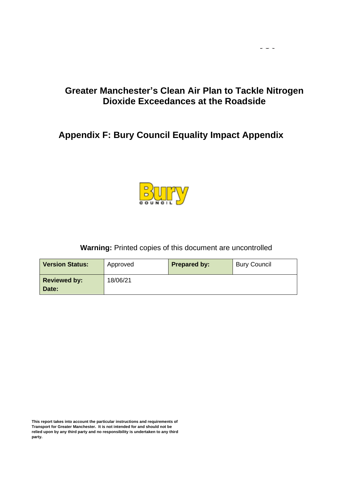## **Greater Manchester's Clean Air Plan to Tackle Nitrogen Dioxide Exceedances at the Roadside**

 $\omega_{\rm c}$  and  $\omega_{\rm c}$ 

# **Appendix F: Bury Council Equality Impact Appendix**



### **Warning:** Printed copies of this document are uncontrolled

| <b>Version Status:</b>       | Approved | <b>Prepared by:</b> | <b>Bury Council</b> |
|------------------------------|----------|---------------------|---------------------|
| <b>Reviewed by:</b><br>Date: | 18/06/21 |                     |                     |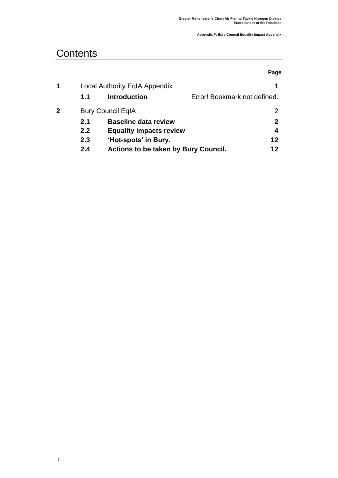# **Contents**

**|** 

|   |     |                                             | Page                         |
|---|-----|---------------------------------------------|------------------------------|
| 1 |     | Local Authority EqIA Appendix               |                              |
|   | 1.1 | <b>Introduction</b>                         | Error! Bookmark not defined. |
| 2 |     | <b>Bury Council EqIA</b>                    |                              |
|   | 2.1 | <b>Baseline data review</b>                 | 2                            |
|   | 2.2 | <b>Equality impacts review</b>              | 4                            |
|   | 2.3 | 'Hot-spots' in Bury.                        | 12                           |
|   | 2.4 | <b>Actions to be taken by Bury Council.</b> | 12                           |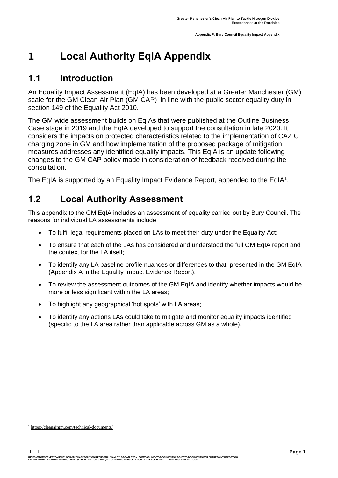# <span id="page-2-0"></span>**1 Local Authority EqIA Appendix**

# **1.1 Introduction**

An Equality Impact Assessment (EqIA) has been developed at a Greater Manchester (GM) scale for the GM Clean Air Plan (GM CAP) in line with the public sector equality duty in section 149 of the Equality Act 2010.

The GM wide assessment builds on EqIAs that were published at the Outline Business Case stage in 2019 and the EqIA developed to support the consultation in late 2020. It considers the impacts on protected characteristics related to the implementation of CAZ C charging zone in GM and how implementation of the proposed package of mitigation measures addresses any identified equality impacts. This EqIA is an update following changes to the GM CAP policy made in consideration of feedback received during the consultation.

The EqIA is supported by an Equality Impact Evidence Report, appended to the EqIA<sup>1</sup>.

# **1.2 Local Authority Assessment**

This appendix to the GM EqIA includes an assessment of equality carried out by Bury Council. The reasons for individual LA assessments include:

- To fulfil legal requirements placed on LAs to meet their duty under the Equality Act:
- To ensure that each of the LAs has considered and understood the full GM EqIA report and the context for the LA itself;
- To identify any LA baseline profile nuances or differences to that presented in the GM EqIA (Appendix A in the Equality Impact Evidence Report).
- To review the assessment outcomes of the GM EqIA and identify whether impacts would be more or less significant within the LA areas;
- To highlight any geographical 'hot spots' with LA areas;
- To identify any actions LAs could take to mitigate and monitor equality impacts identified (specific to the LA area rather than applicable across GM as a whole).

**| |** 

HTTPS://TFGMSERVERTEAMOUTLOOK-MY.SHAREPONT.COM/PERSONAL/HAYLEY\_BROWN\_TFGM\_COM/DOCUMENTS/DOCUMENTS/PROJECTS/DOCUMENTS FOR SHAREPOINT/REPORT GO<br>LIVE/WATERMARK CHANGED DOCS FOR EH/APPENDIX 2 - GM CAP EQIA FOLLOWING CONSULTATI

**<sup>1</sup>** [https://cleanairgm.com/technical-documents/](https://secure-web.cisco.com/11eiBCgElauzNx9ZLncgJx3iOubmp4VtcvvkdlhxY65RKvTbIb59-L2ncr8SElltrd2x-6LbEl4KMsTTxIe3wkMOtRdF_mwDnnUw_pzGQZOwSRIhPJyQIZ8Yp6BpEAcNSn8Ts-zUMkCwwKuuZ6JqlhO90pJazjetwe6gKhLVIM_BswP0PQmXUeuqGyGpWdmieI8qM86OywsW2Ih1TXBkADjvPWBAW0J67oLJLyOi-5a-P-uw5qxFWy4jV1Rgj27aX74mWEA8RmcCJF_QiJniWV9Y7vnNRmfIdielNKILyTnV3ChPut5AXlpom2ThMoaDynN4YcMw9M5bXrEI6WdmDFg/https%3A%2F%2Furl4.mailanyone.net%2Fv1%2F%3Fm%3D1lqaQa-0007kg-3t%26i%3D57e1b682%26c%3Dwx7pouswT3bJs4LPeETsz86q7Q_0OC56XXhe7DlJDibGRSGR8fdmSomeuSdI7C2Fa0eQbaAqoLXhP95flvC3e_rUhnBjBiD8llf9LaF4ZtCjfFRgnR8YVM3huSJaCGnICk94fttlvHc5puWw5cDJWXKncROEJUpzHqnxCBOtlS83l3-sjgML-pIcbUhAQZELxzuJu6c3812_3lnwQAbyYwgocO5Fara8d5TyMQqiWW6tNZcZXXghiSlVoISAGQRmsZ-TU8nVqIdM3Z7LyV0OBSLL4yenFqLa1SDyZM36c6L9Rv_9RwvC_zO8-ja9EEmp3RuaxQ4iKqu8pID_qRBxLRB9hKR0Yp8TjK3AxZQfI6W6JX6ff_FKZIssUgNuX4h8fgWjXtS31MSzgcKKD5htCOS8RNiJG7hqFaezCADs1zqfd5YI5KwtXyQV8Xcw9c04dqUU3rtH6b_zGkplrYZzi_tw5Uh0gVH_yDQ0aze-YmaYOmPe-7DcIOn3tcJzyPAzyNqQZKCfP-i1oh349NtnaY_1gjK4qs0hRBa9R9D0kEGpaGRFokA16JTCjrnHuvRgs7DcM7Fi3nDdrs6xiFxYb34O5EIVstmWMeA67C4pmsqoQ4hX3-rUnQd3vI35GAzQJzJxEsp-QxLb4UU4coOA_r80VNAaur_GF4G4X8lvmN0gEZ3Wu5QzUhFNsj4TCOgSucH17LnJrJVLTZfksCAbTQ)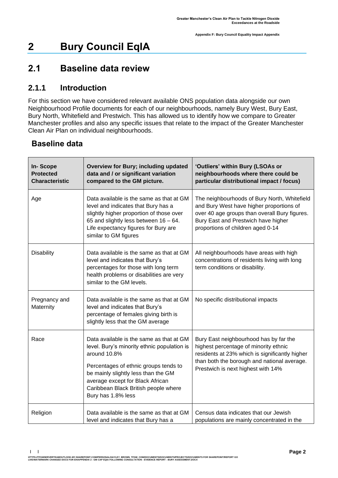# <span id="page-3-0"></span>**2 Bury Council EqIA**

## <span id="page-3-1"></span>**2.1 Baseline data review**

### **2.1.1 Introduction**

For this section we have considered relevant available ONS population data alongside our own Neighbourhood Profile documents for each of our neighbourhoods, namely Bury West, Bury East, Bury North, Whitefield and Prestwich. This has allowed us to identify how we compare to Greater Manchester profiles and also any specific issues that relate to the impact of the Greater Manchester Clean Air Plan on individual neighbourhoods.

### **Baseline data**

**| |** 

| <b>In-Scope</b><br><b>Protected</b><br><b>Characteristic</b> | <b>Overview for Bury; including updated</b><br>data and / or significant variation<br>compared to the GM picture.                                                                                                                                                                         | 'Outliers' within Bury (LSOAs or<br>neighbourhoods where there could be<br>particular distributional impact / focus)                                                                                                   |
|--------------------------------------------------------------|-------------------------------------------------------------------------------------------------------------------------------------------------------------------------------------------------------------------------------------------------------------------------------------------|------------------------------------------------------------------------------------------------------------------------------------------------------------------------------------------------------------------------|
| Age                                                          | Data available is the same as that at GM<br>level and indicates that Bury has a<br>slightly higher proportion of those over<br>65 and slightly less between 16 - 64.<br>Life expectancy figures for Bury are<br>similar to GM figures                                                     | The neighbourhoods of Bury North, Whitefield<br>and Bury West have higher proportions of<br>over 40 age groups than overall Bury figures.<br>Bury East and Prestwich have higher<br>proportions of children aged 0-14  |
| <b>Disability</b>                                            | Data available is the same as that at GM<br>level and indicates that Bury's<br>percentages for those with long term<br>health problems or disabilities are very<br>similar to the GM levels.                                                                                              | All neighbourhoods have areas with high<br>concentrations of residents living with long<br>term conditions or disability.                                                                                              |
| Pregnancy and<br>Maternity                                   | Data available is the same as that at GM<br>level and indicates that Bury's<br>percentage of females giving birth is<br>slightly less that the GM average                                                                                                                                 | No specific distributional impacts                                                                                                                                                                                     |
| Race                                                         | Data available is the same as that at GM<br>level. Bury's minority ethnic population is<br>around 10.8%<br>Percentages of ethnic groups tends to<br>be mainly slightly less than the GM<br>average except for Black African<br>Caribbean Black British people where<br>Bury has 1.8% less | Bury East neighbourhood has by far the<br>highest percentage of minority ethnic<br>residents at 23% which is significantly higher<br>than both the borough and national average.<br>Prestwich is next highest with 14% |
| Religion                                                     | Data available is the same as that at GM<br>level and indicates that Bury has a                                                                                                                                                                                                           | Census data indicates that our Jewish<br>populations are mainly concentrated in the                                                                                                                                    |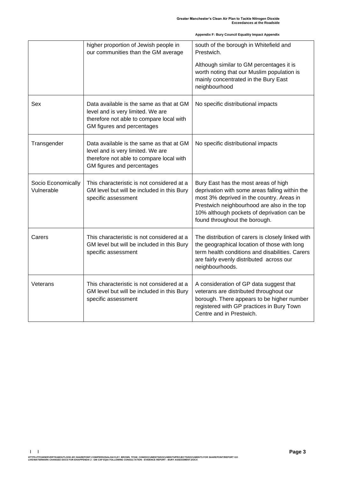|                                  | higher proportion of Jewish people in<br>our communities than the GM average                                                                            | south of the borough in Whitefield and<br>Prestwich.<br>Although similar to GM percentages it is<br>worth noting that our Muslim population is<br>mainly concentrated in the Bury East<br>neighbourhood                                                           |
|----------------------------------|---------------------------------------------------------------------------------------------------------------------------------------------------------|-------------------------------------------------------------------------------------------------------------------------------------------------------------------------------------------------------------------------------------------------------------------|
| Sex                              | Data available is the same as that at GM<br>level and is very limited. We are<br>therefore not able to compare local with<br>GM figures and percentages | No specific distributional impacts                                                                                                                                                                                                                                |
| Transgender                      | Data available is the same as that at GM<br>level and is very limited. We are<br>therefore not able to compare local with<br>GM figures and percentages | No specific distributional impacts                                                                                                                                                                                                                                |
| Socio Economically<br>Vulnerable | This characteristic is not considered at a<br>GM level but will be included in this Bury<br>specific assessment                                         | Bury East has the most areas of high<br>deprivation with some areas falling within the<br>most 3% deprived in the country. Areas in<br>Prestwich neighbourhood are also in the top<br>10% although pockets of deprivation can be<br>found throughout the borough. |
| Carers                           | This characteristic is not considered at a<br>GM level but will be included in this Bury<br>specific assessment                                         | The distribution of carers is closely linked with<br>the geographical location of those with long<br>term health conditions and disabilities. Carers<br>are fairly evenly distributed across our<br>neighbourhoods.                                               |
| Veterans                         | This characteristic is not considered at a<br>GM level but will be included in this Bury<br>specific assessment                                         | A consideration of GP data suggest that<br>veterans are distributed throughout our<br>borough. There appears to be higher number<br>registered with GP practices in Bury Town<br>Centre and in Prestwich.                                                         |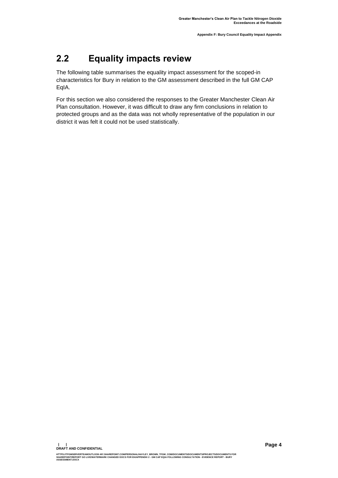# <span id="page-5-0"></span>**2.2 Equality impacts review**

The following table summarises the equality impact assessment for the scoped-in characteristics for Bury in relation to the GM assessment described in the full GM CAP EqIA.

For this section we also considered the responses to the Greater Manchester Clean Air Plan consultation. However, it was difficult to draw any firm conclusions in relation to protected groups and as the data was not wholly representative of the population in our district it was felt it could not be used statistically.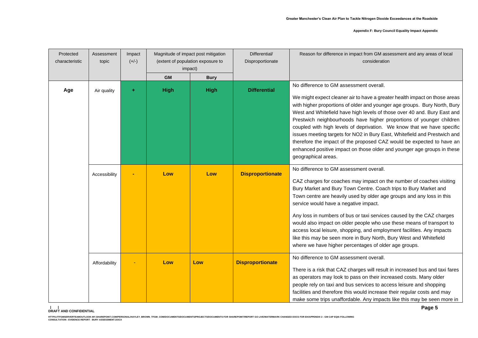| Protected<br>characteristic | Assessment<br>topic | Impact<br>$(+/-)$ | Magnitude of impact post mitigation<br>(extent of population exposure to<br>impact) |             |                         |                                                                                                                                                                                                                                                                                                                                                                                                                                                                                                                                                                                                                                                                                          | Differential/ |  | Disproportionate | Reason for difference in impact from GM assessment and any areas of local<br>consideration |  |
|-----------------------------|---------------------|-------------------|-------------------------------------------------------------------------------------|-------------|-------------------------|------------------------------------------------------------------------------------------------------------------------------------------------------------------------------------------------------------------------------------------------------------------------------------------------------------------------------------------------------------------------------------------------------------------------------------------------------------------------------------------------------------------------------------------------------------------------------------------------------------------------------------------------------------------------------------------|---------------|--|------------------|--------------------------------------------------------------------------------------------|--|
|                             |                     |                   | <b>GM</b>                                                                           | <b>Bury</b> |                         |                                                                                                                                                                                                                                                                                                                                                                                                                                                                                                                                                                                                                                                                                          |               |  |                  |                                                                                            |  |
| Age                         | Air quality         | ÷                 | <b>High</b>                                                                         | <b>High</b> | <b>Differential</b>     | No difference to GM assessment overall.<br>We might expect cleaner air to have a greater health impact on those areas<br>with higher proportions of older and younger age groups. Bury North, Bury<br>West and Whitefield have high levels of those over 40 and. Bury East and<br>Prestwich neighbourhoods have higher proportions of younger children<br>coupled with high levels of deprivation. We know that we have specific<br>issues meeting targets for NO2 in Bury East, Whitefield and Prestwich and<br>therefore the impact of the proposed CAZ would be expected to have an<br>enhanced positive impact on those older and younger age groups in these<br>geographical areas. |               |  |                  |                                                                                            |  |
|                             | Accessibility       |                   | Low                                                                                 | Low         | <b>Disproportionate</b> | No difference to GM assessment overall.<br>CAZ charges for coaches may impact on the number of coaches visiting<br>Bury Market and Bury Town Centre. Coach trips to Bury Market and<br>Town centre are heavily used by older age groups and any loss in this<br>service would have a negative impact.<br>Any loss in numbers of bus or taxi services caused by the CAZ charges<br>would also impact on older people who use these means of transport to<br>access local leisure, shopping, and employment facilities. Any impacts<br>like this may be seen more in Bury North, Bury West and Whitefield<br>where we have higher percentages of older age groups.                         |               |  |                  |                                                                                            |  |
|                             | Affordability       |                   | Low                                                                                 | Low         | <b>Disproportionate</b> | No difference to GM assessment overall.<br>There is a risk that CAZ charges will result in increased bus and taxi fares<br>as operators may look to pass on their increased costs. Many older<br>people rely on taxi and bus services to access leisure and shopping<br>facilities and therefore this would increase their regular costs and may<br>make some trips unaffordable. Any impacts like this may be seen more in                                                                                                                                                                                                                                                              |               |  |                  |                                                                                            |  |

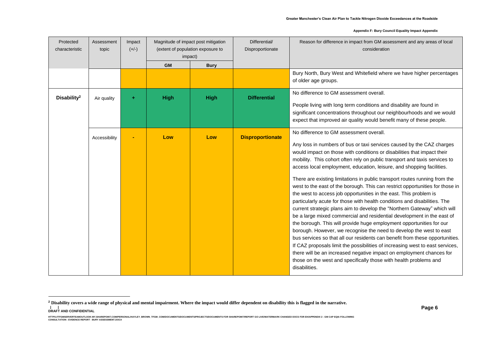| Protected<br>characteristic | Assessment<br>topic | Impact<br>$(+/-)$ |             | Magnitude of impact post mitigation<br>(extent of population exposure to<br>impact) |                         | Reason for difference in impact from GM assessment and any areas of local<br>consideration                                                                                                                                                                                                                                                                                                                                                                                                                                                                                                                                                                                                                                                                                                                                                                                                                                                                                                                                                                                                                                                                                                                                                                                                              |
|-----------------------------|---------------------|-------------------|-------------|-------------------------------------------------------------------------------------|-------------------------|---------------------------------------------------------------------------------------------------------------------------------------------------------------------------------------------------------------------------------------------------------------------------------------------------------------------------------------------------------------------------------------------------------------------------------------------------------------------------------------------------------------------------------------------------------------------------------------------------------------------------------------------------------------------------------------------------------------------------------------------------------------------------------------------------------------------------------------------------------------------------------------------------------------------------------------------------------------------------------------------------------------------------------------------------------------------------------------------------------------------------------------------------------------------------------------------------------------------------------------------------------------------------------------------------------|
|                             |                     |                   | <b>GM</b>   | <b>Bury</b>                                                                         |                         |                                                                                                                                                                                                                                                                                                                                                                                                                                                                                                                                                                                                                                                                                                                                                                                                                                                                                                                                                                                                                                                                                                                                                                                                                                                                                                         |
|                             |                     |                   |             |                                                                                     |                         | Bury North, Bury West and Whitefield where we have higher percentages<br>of older age groups.                                                                                                                                                                                                                                                                                                                                                                                                                                                                                                                                                                                                                                                                                                                                                                                                                                                                                                                                                                                                                                                                                                                                                                                                           |
| Disability <sup>2</sup>     | Air quality         |                   | <b>High</b> | <b>High</b>                                                                         | <b>Differential</b>     | No difference to GM assessment overall.<br>People living with long term conditions and disability are found in<br>significant concentrations throughout our neighbourhoods and we would<br>expect that improved air quality would benefit many of these people.                                                                                                                                                                                                                                                                                                                                                                                                                                                                                                                                                                                                                                                                                                                                                                                                                                                                                                                                                                                                                                         |
|                             | Accessibility       |                   | Low         | Low                                                                                 | <b>Disproportionate</b> | No difference to GM assessment overall.<br>Any loss in numbers of bus or taxi services caused by the CAZ charges<br>would impact on those with conditions or disabilities that impact their<br>mobility. This cohort often rely on public transport and taxis services to<br>access local employment, education, leisure, and shopping facilities.<br>There are existing limitations in public transport routes running from the<br>west to the east of the borough. This can restrict opportunities for those in<br>the west to access job opportunities in the east. This problem is<br>particularly acute for those with health conditions and disabilities. The<br>current strategic plans aim to develop the "Northern Gateway" which will<br>be a large mixed commercial and residential development in the east of<br>the borough. This will provide huge employment opportunities for our<br>borough. However, we recognise the need to develop the west to east<br>bus services so that all our residents can benefit from these opportunities.<br>If CAZ proposals limit the possibilities of increasing west to east services,<br>there will be an increased negative impact on employment chances for<br>those on the west and specifically those with health problems and<br>disabilities. |

**| | DRAFT AND CONFIDENTIAL**

**<sup>2</sup> Disability covers a wide range of physical and mental impairment. Where the impact would differ dependent on disability this is flagged in the narrative.**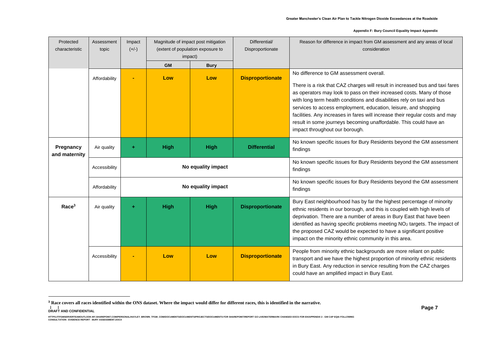| Protected<br>characteristic | Assessment<br>topic | Impact<br>$(+/-)$ | Magnitude of impact post mitigation<br>(extent of population exposure to<br>impact) |                    | Differential/<br>Disproportionate | Reason for difference in impact from GM assessment and any areas of local<br>consideration                                                                                                                                                                                                                                                                                                                                                                                                                                           |
|-----------------------------|---------------------|-------------------|-------------------------------------------------------------------------------------|--------------------|-----------------------------------|--------------------------------------------------------------------------------------------------------------------------------------------------------------------------------------------------------------------------------------------------------------------------------------------------------------------------------------------------------------------------------------------------------------------------------------------------------------------------------------------------------------------------------------|
|                             |                     |                   | <b>GM</b>                                                                           | <b>Bury</b>        |                                   |                                                                                                                                                                                                                                                                                                                                                                                                                                                                                                                                      |
|                             | Affordability       |                   | Low                                                                                 | Low                | <b>Disproportionate</b>           | No difference to GM assessment overall.<br>There is a risk that CAZ charges will result in increased bus and taxi fares<br>as operators may look to pass on their increased costs. Many of those<br>with long term health conditions and disabilities rely on taxi and bus<br>services to access employment, education, leisure, and shopping<br>facilities. Any increases in fares will increase their regular costs and may<br>result in some journeys becoming unaffordable. This could have an<br>impact throughout our borough. |
| Pregnancy<br>and maternity  | Air quality         |                   | <b>High</b>                                                                         | <b>High</b>        | <b>Differential</b>               | No known specific issues for Bury Residents beyond the GM assessment<br>findings                                                                                                                                                                                                                                                                                                                                                                                                                                                     |
|                             | Accessibility       |                   |                                                                                     | No equality impact |                                   | No known specific issues for Bury Residents beyond the GM assessment<br>findings                                                                                                                                                                                                                                                                                                                                                                                                                                                     |
|                             | Affordability       |                   |                                                                                     | No equality impact |                                   | No known specific issues for Bury Residents beyond the GM assessment<br>findings                                                                                                                                                                                                                                                                                                                                                                                                                                                     |
| Race <sup>3</sup>           | Air quality         |                   | <b>High</b>                                                                         | <b>High</b>        | <b>Disproportionate</b>           | Bury East neighbourhood has by far the highest percentage of minority<br>ethnic residents in our borough, and this is coupled with high levels of<br>deprivation. There are a number of areas in Bury East that have been<br>identified as having specific problems meeting NO <sub>2</sub> targets. The impact of<br>the proposed CAZ would be expected to have a significant positive<br>impact on the minority ethnic community in this area.                                                                                     |
|                             | Accessibility       |                   | Low                                                                                 | Low                | <b>Disproportionate</b>           | People from minority ethnic backgrounds are more reliant on public<br>transport and we have the highest proportion of minority ethnic residents<br>in Bury East. Any reduction in service resulting from the CAZ charges<br>could have an amplified impact in Bury East.                                                                                                                                                                                                                                                             |

**| | DRAFT AND CONFIDENTIAL**

**<sup>3</sup> Race covers all races identified within the ONS dataset. Where the impact would differ for different races, this is identified in the narrative.**

HTTPS://TEMBERVERTEMOUTLOOK-MY.SHAREPOINT.COM/PERSONAL/HAYLEY\_BROWN\_TFGM\_COM/DOCUMENTS/ROCUMENTS/RROJECTS/DOCUMENTS FOR SHAREPOINT/REPORT GO LIVE/MATERMARK CHANGED DOCS FOR EH/APPENDIX 2 - GM CAP EQIA FOLLOWING<br>CONSULTATIO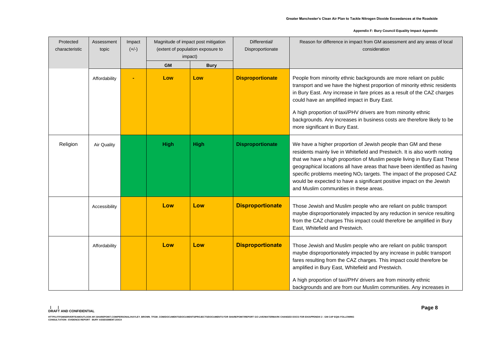| Protected<br>characteristic | Assessment<br>topic | Impact<br>$(+/-)$ | Magnitude of impact post mitigation<br>(extent of population exposure to<br>impact) |             | Differential/<br>Disproportionate | Reason for difference in impact from GM assessment and any areas of local<br>consideration                                                                                                                                                                                                                                                                                                                                                                                                                     |  |
|-----------------------------|---------------------|-------------------|-------------------------------------------------------------------------------------|-------------|-----------------------------------|----------------------------------------------------------------------------------------------------------------------------------------------------------------------------------------------------------------------------------------------------------------------------------------------------------------------------------------------------------------------------------------------------------------------------------------------------------------------------------------------------------------|--|
|                             |                     |                   | <b>GM</b>                                                                           | <b>Bury</b> |                                   |                                                                                                                                                                                                                                                                                                                                                                                                                                                                                                                |  |
|                             | Affordability       |                   | Low                                                                                 | Low         | <b>Disproportionate</b>           | People from minority ethnic backgrounds are more reliant on public<br>transport and we have the highest proportion of minority ethnic residents<br>in Bury East. Any increase in fare prices as a result of the CAZ charges<br>could have an amplified impact in Bury East.<br>A high proportion of taxi/PHV drivers are from minority ethnic<br>backgrounds. Any increases in business costs are therefore likely to be<br>more significant in Bury East.                                                     |  |
| Religion                    | Air Quality         |                   | <b>High</b>                                                                         | <b>High</b> | <b>Disproportionate</b>           | We have a higher proportion of Jewish people than GM and these<br>residents mainly live in Whitefield and Prestwich. It is also worth noting<br>that we have a high proportion of Muslim people living in Bury East These<br>geographical locations all have areas that have been identified as having<br>specific problems meeting NO <sub>2</sub> targets. The impact of the proposed CAZ<br>would be expected to have a significant positive impact on the Jewish<br>and Muslim communities in these areas. |  |
|                             | Accessibility       |                   | Low                                                                                 | Low         | <b>Disproportionate</b>           | Those Jewish and Muslim people who are reliant on public transport<br>maybe disproportionately impacted by any reduction in service resulting<br>from the CAZ charges This impact could therefore be amplified in Bury<br>East, Whitefield and Prestwich.                                                                                                                                                                                                                                                      |  |
|                             | Affordability       |                   | Low                                                                                 | Low         | <b>Disproportionate</b>           | Those Jewish and Muslim people who are reliant on public transport<br>maybe disproportionately impacted by any increase in public transport<br>fares resulting from the CAZ charges. This impact could therefore be<br>amplified in Bury East, Whitefield and Prestwich.<br>A high proportion of taxi/PHV drivers are from minority ethnic<br>backgrounds and are from our Muslim communities. Any increases in                                                                                                |  |

HTTPS://TEMBERVERTEMOUTLOOK-MY.SHAREPOINT.COM/PERSONAL/HAYLEY\_BROWN\_TFGM\_COM/DOCUMENTS/ROCUMENTS/RROJECTS/DOCUMENTS FOR SHAREPOINT/REPORT GO LIVE/MATERMARK CHANGED DOCS FOR EH/APPENDIX 2 - GM CAP EQIA FOLLOWING<br>CONSULTATIO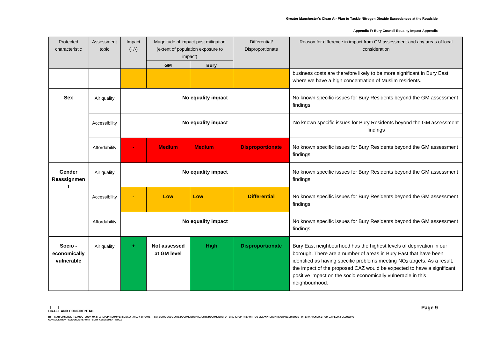| Protected<br>characteristic           | Assessment<br>topic | Impact<br>$(+/-)$ | Magnitude of impact post mitigation<br>(extent of population exposure to<br>impact) |                    | Differential/<br>Disproportionate | Reason for difference in impact from GM assessment and any areas of local<br>consideration                                                                                                                                                                                                                                                                                                   |
|---------------------------------------|---------------------|-------------------|-------------------------------------------------------------------------------------|--------------------|-----------------------------------|----------------------------------------------------------------------------------------------------------------------------------------------------------------------------------------------------------------------------------------------------------------------------------------------------------------------------------------------------------------------------------------------|
|                                       |                     |                   | <b>GM</b>                                                                           | <b>Bury</b>        |                                   |                                                                                                                                                                                                                                                                                                                                                                                              |
|                                       |                     |                   |                                                                                     |                    |                                   | business costs are therefore likely to be more significant in Bury East<br>where we have a high concentration of Muslim residents.                                                                                                                                                                                                                                                           |
| <b>Sex</b>                            | Air quality         |                   |                                                                                     | No equality impact |                                   | No known specific issues for Bury Residents beyond the GM assessment<br>findings                                                                                                                                                                                                                                                                                                             |
|                                       | Accessibility       |                   |                                                                                     | No equality impact |                                   | No known specific issues for Bury Residents beyond the GM assessment<br>findings                                                                                                                                                                                                                                                                                                             |
|                                       | Affordability       |                   | <b>Medium</b>                                                                       | <b>Medium</b>      | <b>Disproportionate</b>           | No known specific issues for Bury Residents beyond the GM assessment<br>findings                                                                                                                                                                                                                                                                                                             |
| Gender<br>Reassignmen<br>t            | Air quality         |                   |                                                                                     | No equality impact |                                   | No known specific issues for Bury Residents beyond the GM assessment<br>findings                                                                                                                                                                                                                                                                                                             |
|                                       | Accessibility       |                   | Low                                                                                 | Low                | <b>Differential</b>               | No known specific issues for Bury Residents beyond the GM assessment<br>findings                                                                                                                                                                                                                                                                                                             |
|                                       | Affordability       |                   |                                                                                     | No equality impact |                                   | No known specific issues for Bury Residents beyond the GM assessment<br>findings                                                                                                                                                                                                                                                                                                             |
| Socio -<br>economically<br>vulnerable | Air quality         |                   | Not assessed<br>at GM level                                                         | <b>High</b>        | <b>Disproportionate</b>           | Bury East neighbourhood has the highest levels of deprivation in our<br>borough. There are a number of areas in Bury East that have been<br>identified as having specific problems meeting NO <sub>2</sub> targets. As a result,<br>the impact of the proposed CAZ would be expected to have a significant<br>positive impact on the socio economically vulnerable in this<br>neighbourhood. |

HTTPS://TEMBERVERTEMOUTLOOK-MY.SHAREPOINT.COM/PERSONAL/HAYLEY\_BROWN\_TFGM\_COM/DOCUMENTS/ROCUMENTS/RROJECTS/DOCUMENTS FOR SHAREPOINT/REPORT GO LIVE/MATERMARK CHANGED DOCS FOR EH/APPENDIX 2 - GM CAP EQIA FOLLOWING<br>CONSULTATIO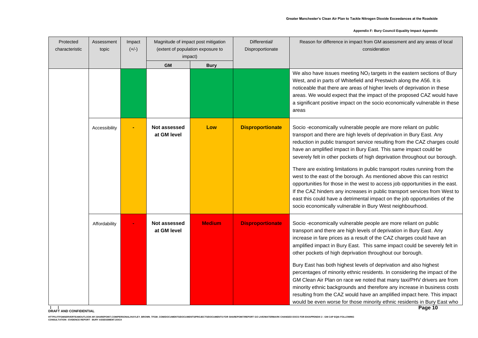| Protected<br>characteristic | Assessment<br>topic | Impact<br>$(+/-)$ | Magnitude of impact post mitigation<br>(extent of population exposure to<br>impact) |               |                         |                                                                                                                                                                                                                                                                                                                                                                                                                                                              | Differential/<br>Disproportionate | Reason for difference in impact from GM assessment and any areas of local<br>consideration |
|-----------------------------|---------------------|-------------------|-------------------------------------------------------------------------------------|---------------|-------------------------|--------------------------------------------------------------------------------------------------------------------------------------------------------------------------------------------------------------------------------------------------------------------------------------------------------------------------------------------------------------------------------------------------------------------------------------------------------------|-----------------------------------|--------------------------------------------------------------------------------------------|
|                             |                     |                   | <b>GM</b>                                                                           | <b>Bury</b>   |                         |                                                                                                                                                                                                                                                                                                                                                                                                                                                              |                                   |                                                                                            |
|                             |                     |                   |                                                                                     |               |                         | We also have issues meeting NO <sub>2</sub> targets in the eastern sections of Bury<br>West, and in parts of Whitefield and Prestwich along the A56. It is<br>noticeable that there are areas of higher levels of deprivation in these<br>areas. We would expect that the impact of the proposed CAZ would have<br>a significant positive impact on the socio economically vulnerable in these<br>areas                                                      |                                   |                                                                                            |
|                             | Accessibility       |                   | Not assessed<br>at GM level                                                         | Low           | <b>Disproportionate</b> | Socio -economically vulnerable people are more reliant on public<br>transport and there are high levels of deprivation in Bury East. Any<br>reduction in public transport service resulting from the CAZ charges could<br>have an amplified impact in Bury East. This same impact could be<br>severely felt in other pockets of high deprivation throughout our borough.                                                                                     |                                   |                                                                                            |
|                             |                     |                   |                                                                                     |               |                         | There are existing limitations in public transport routes running from the<br>west to the east of the borough. As mentioned above this can restrict<br>opportunities for those in the west to access job opportunities in the east.<br>If the CAZ hinders any increases in public transport services from West to<br>east this could have a detrimental impact on the job opportunities of the<br>socio economically vulnerable in Bury West neighbourhood.  |                                   |                                                                                            |
|                             | Affordability       |                   | <b>Not assessed</b><br>at GM level                                                  | <b>Medium</b> | <b>Disproportionate</b> | Socio -economically vulnerable people are more reliant on public<br>transport and there are high levels of deprivation in Bury East. Any<br>increase in fare prices as a result of the CAZ charges could have an<br>amplified impact in Bury East. This same impact could be severely felt in<br>other pockets of high deprivation throughout our borough.                                                                                                   |                                   |                                                                                            |
|                             |                     |                   |                                                                                     |               |                         | Bury East has both highest levels of deprivation and also highest<br>percentages of minority ethnic residents. In considering the impact of the<br>GM Clean Air Plan on race we noted that many taxi/PHV drivers are from<br>minority ethnic backgrounds and therefore any increase in business costs<br>resulting from the CAZ would have an amplified impact here. This impact<br>would be even worse for those minority ethnic residents in Bury East who |                                   |                                                                                            |

**| | DRAFT AND CONFIDENTIAL**

HTTPS://TEMBERVERTEMOUTLOOK-MY.SHAREPOINT.COM/PERSONAL/HAYLEY\_BROWN\_TFGM\_COM/DOCUMENTS/ROCUMENTS/RROJECTS/DOCUMENTS FOR SHAREPOINT/REPORT GO LIVE/MATERMARK CHANGED DOCS FOR EH/APPENDIX 2 - GM CAP EQIA FOLLOWING<br>CONSULTATIO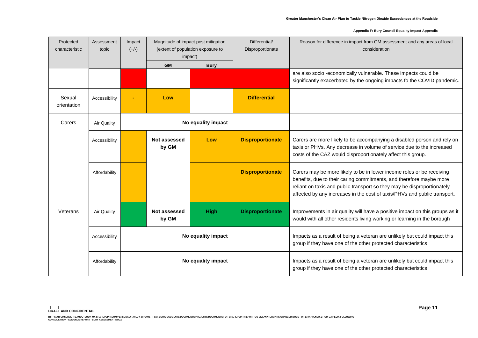| Protected<br>characteristic | Assessment<br>topic | Impact<br>$(+/-)$ | Magnitude of impact post mitigation<br>(extent of population exposure to<br>impact) |                    | Differential/<br>Disproportionate | Reason for difference in impact from GM assessment and any areas of local<br>consideration                                                                                                                                                                                                           |
|-----------------------------|---------------------|-------------------|-------------------------------------------------------------------------------------|--------------------|-----------------------------------|------------------------------------------------------------------------------------------------------------------------------------------------------------------------------------------------------------------------------------------------------------------------------------------------------|
|                             |                     |                   | <b>GM</b>                                                                           | <b>Bury</b>        |                                   |                                                                                                                                                                                                                                                                                                      |
|                             |                     |                   |                                                                                     |                    |                                   | are also socio -economically vulnerable. These impacts could be<br>significantly exacerbated by the ongoing impacts fo the COVID pandemic.                                                                                                                                                           |
| Sexual<br>orientation       | Accessibility       |                   | Low                                                                                 |                    | <b>Differential</b>               |                                                                                                                                                                                                                                                                                                      |
| Carers                      | <b>Air Quality</b>  |                   |                                                                                     | No equality impact |                                   |                                                                                                                                                                                                                                                                                                      |
|                             | Accessibility       |                   | Not assessed<br>by GM                                                               | Low                | <b>Disproportionate</b>           | Carers are more likely to be accompanying a disabled person and rely on<br>taxis or PHVs. Any decrease in volume of service due to the increased<br>costs of the CAZ would disproportionately affect this group.                                                                                     |
|                             | Affordability       |                   |                                                                                     |                    | <b>Disproportionate</b>           | Carers may be more likely to be in lower income roles or be receiving<br>benefits, due to their caring commitments, and therefore maybe more<br>reliant on taxis and public transport so they may be disproportionately<br>affected by any increases in the cost of taxis/PHVs and public transport. |
| Veterans                    | <b>Air Quality</b>  |                   | Not assessed<br>by GM                                                               | <b>High</b>        | <b>Disproportionate</b>           | Improvements in air quality will have a positive impact on this groups as it<br>would with all other residents living working or learning in the borough                                                                                                                                             |
|                             | Accessibility       |                   | No equality impact                                                                  |                    |                                   | Impacts as a result of being a veteran are unlikely but could impact this<br>group if they have one of the other protected characteristics                                                                                                                                                           |
|                             | Affordability       |                   | No equality impact                                                                  |                    |                                   | Impacts as a result of being a veteran are unlikely but could impact this<br>group if they have one of the other protected characteristics                                                                                                                                                           |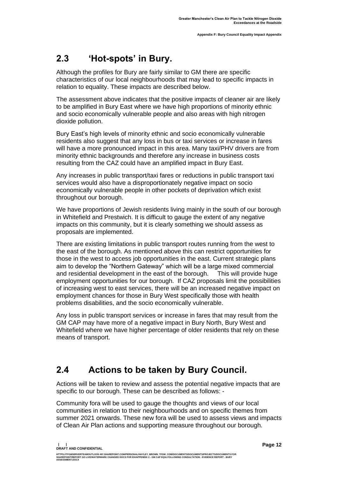## <span id="page-13-0"></span>**2.3 'Hot-spots' in Bury.**

Although the profiles for Bury are fairly similar to GM there are specific characteristics of our local neighbourhoods that may lead to specific impacts in relation to equality. These impacts are described below.

The assessment above indicates that the positive impacts of cleaner air are likely to be amplified in Bury East where we have high proportions of minority ethnic and socio economically vulnerable people and also areas with high nitrogen dioxide pollution.

Bury East's high levels of minority ethnic and socio economically vulnerable residents also suggest that any loss in bus or taxi services or increase in fares will have a more pronounced impact in this area. Many taxi/PHV drivers are from minority ethnic backgrounds and therefore any increase in business costs resulting from the CAZ could have an amplified impact in Bury East.

Any increases in public transport/taxi fares or reductions in public transport taxi services would also have a disproportionately negative impact on socio economically vulnerable people in other pockets of deprivation which exist throughout our borough.

We have proportions of Jewish residents living mainly in the south of our borough in Whitefield and Prestwich. It is difficult to gauge the extent of any negative impacts on this community, but it is clearly something we should assess as proposals are implemented.

There are existing limitations in public transport routes running from the west to the east of the borough. As mentioned above this can restrict opportunities for those in the west to access job opportunities in the east. Current strategic plans aim to develop the "Northern Gateway" which will be a large mixed commercial and residential development in the east of the borough. This will provide huge employment opportunities for our borough. If CAZ proposals limit the possibilities of increasing west to east services, there will be an increased negative impact on employment chances for those in Bury West specifically those with health problems disabilities, and the socio economically vulnerable.

Any loss in public transport services or increase in fares that may result from the GM CAP may have more of a negative impact in Bury North, Bury West and Whitefield where we have higher percentage of older residents that rely on these means of transport.

# <span id="page-13-1"></span>**2.4 Actions to be taken by Bury Council.**

Actions will be taken to review and assess the potential negative impacts that are specific to our borough. These can be described as follows: -

Community fora will be used to gauge the thoughts and views of our local communities in relation to their neighbourhoods and on specific themes from summer 2021 onwards. These new fora will be used to assess views and impacts of Clean Air Plan actions and supporting measure throughout our borough.

**| |** 

**DRAFT AND CONFIDENTIAL**